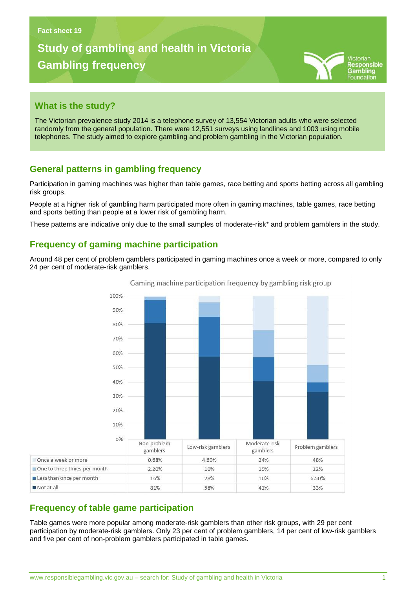# **Study of gambling and health in Victoria Gambling frequency**



#### **What is the study?**

The Victorian prevalence study 2014 is a telephone survey of 13,554 Victorian adults who were selected randomly from the general population. There were 12,551 surveys using landlines and 1003 using mobile telephones. The study aimed to explore gambling and problem gambling in the Victorian population.

### **General patterns in gambling frequency**

**Gambling problems in Victoria**

Participation in gaming machines was higher than table games, race betting and sports betting across all gambling risk groups.

People at a higher risk of gambling harm participated more often in gaming machines, table games, race betting and sports betting than people at a lower risk of gambling harm.

These patterns are indicative only due to the small samples of moderate-risk\* and problem gamblers in the study.

### **Frequency of gaming machine participation**

Around 48 per cent of problem gamblers participated in gaming machines once a week or more, compared to only 24 per cent of moderate-risk gamblers.



Gaming machine participation frequency by gambling risk group

### **Frequency of table game participation**

Not at all

Table games were more popular among moderate-risk gamblers than other risk groups, with 29 per cent participation by moderate-risk gamblers. Only 23 per cent of problem gamblers, 14 per cent of low-risk gamblers and five per cent of non-problem gamblers participated in table games.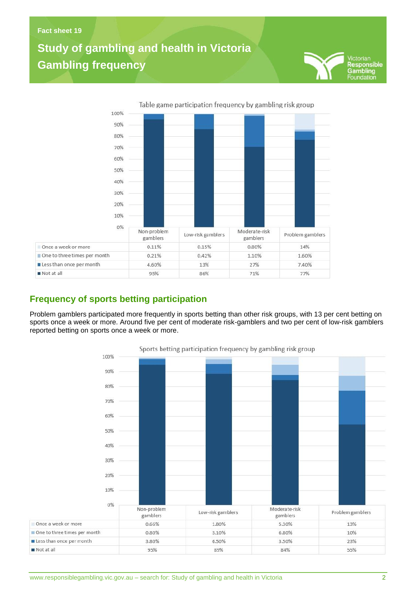## **Study of gambling and health in Victoria Gambling frequency**

**Gambling problems in Victoria**



**Frequency of sports betting participation**

Problem gamblers participated more frequently in sports betting than other risk groups, with 13 per cent betting on sports once a week or more. Around five per cent of moderate risk-gamblers and two per cent of low-risk gamblers reported betting on sports once a week or more.



Sports betting participation frequency by gambling risk group

Not at all

ictorian Responsible Gambling<br>Foundation